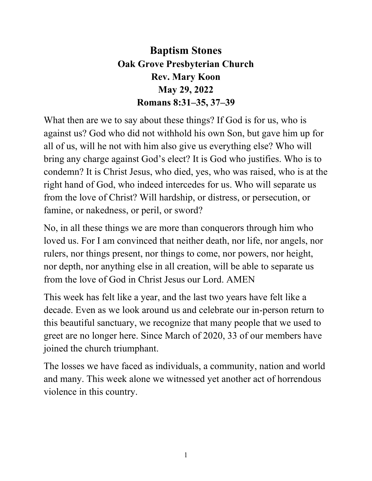## **Baptism Stones Oak Grove Presbyterian Church Rev. Mary Koon May 29, 2022 Romans 8:31–35, 37–39**

What then are we to say about these things? If God is for us, who is against us? God who did not withhold his own Son, but gave him up for all of us, will he not with him also give us everything else? Who will bring any charge against God's elect? It is God who justifies. Who is to condemn? It is Christ Jesus, who died, yes, who was raised, who is at the right hand of God, who indeed intercedes for us. Who will separate us from the love of Christ? Will hardship, or distress, or persecution, or famine, or nakedness, or peril, or sword?

No, in all these things we are more than conquerors through him who loved us. For I am convinced that neither death, nor life, nor angels, nor rulers, nor things present, nor things to come, nor powers, nor height, nor depth, nor anything else in all creation, will be able to separate us from the love of God in Christ Jesus our Lord. AMEN

This week has felt like a year, and the last two years have felt like a decade. Even as we look around us and celebrate our in-person return to this beautiful sanctuary, we recognize that many people that we used to greet are no longer here. Since March of 2020, 33 of our members have joined the church triumphant.

The losses we have faced as individuals, a community, nation and world and many. This week alone we witnessed yet another act of horrendous violence in this country.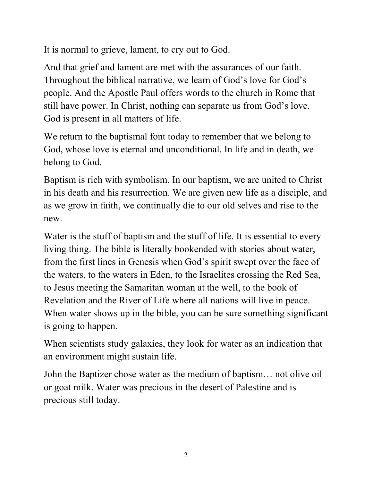It is normal to grieve, lament, to cry out to God.

And that grief and lament are met with the assurances of our faith. Throughout the biblical narrative, we learn of God's love for God's people. And the Apostle Paul offers words to the church in Rome that still have power. In Christ, nothing can separate us from God's love. God is present in all matters of life.

We return to the baptismal font today to remember that we belong to God, whose love is eternal and unconditional. In life and in death, we belong to God.

Baptism is rich with symbolism. In our baptism, we are united to Christ in his death and his resurrection. We are given new life as a disciple, and as we grow in faith, we continually die to our old selves and rise to the new.

Water is the stuff of baptism and the stuff of life. It is essential to every living thing. The bible is literally bookended with stories about water, from the first lines in Genesis when God's spirit swept over the face of the waters, to the waters in Eden, to the Israelites crossing the Red Sea, to Jesus meeting the Samaritan woman at the well, to the book of Revelation and the River of Life where all nations will live in peace. When water shows up in the bible, you can be sure something significant is going to happen.

When scientists study galaxies, they look for water as an indication that an environment might sustain life.

John the Baptizer chose water as the medium of baptism… not olive oil or goat milk. Water was precious in the desert of Palestine and is precious still today.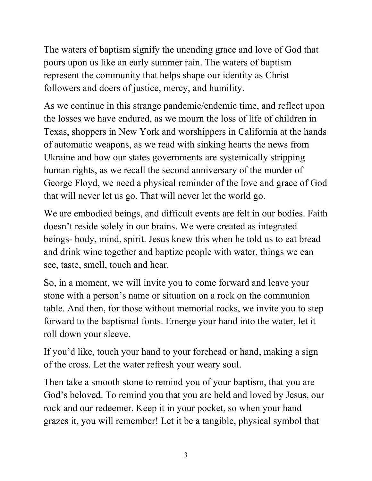The waters of baptism signify the unending grace and love of God that pours upon us like an early summer rain. The waters of baptism represent the community that helps shape our identity as Christ followers and doers of justice, mercy, and humility.

As we continue in this strange pandemic/endemic time, and reflect upon the losses we have endured, as we mourn the loss of life of children in Texas, shoppers in New York and worshippers in California at the hands of automatic weapons, as we read with sinking hearts the news from Ukraine and how our states governments are systemically stripping human rights, as we recall the second anniversary of the murder of George Floyd, we need a physical reminder of the love and grace of God that will never let us go. That will never let the world go.

We are embodied beings, and difficult events are felt in our bodies. Faith doesn't reside solely in our brains. We were created as integrated beings- body, mind, spirit. Jesus knew this when he told us to eat bread and drink wine together and baptize people with water, things we can see, taste, smell, touch and hear.

So, in a moment, we will invite you to come forward and leave your stone with a person's name or situation on a rock on the communion table. And then, for those without memorial rocks, we invite you to step forward to the baptismal fonts. Emerge your hand into the water, let it roll down your sleeve.

If you'd like, touch your hand to your forehead or hand, making a sign of the cross. Let the water refresh your weary soul.

Then take a smooth stone to remind you of your baptism, that you are God's beloved. To remind you that you are held and loved by Jesus, our rock and our redeemer. Keep it in your pocket, so when your hand grazes it, you will remember! Let it be a tangible, physical symbol that